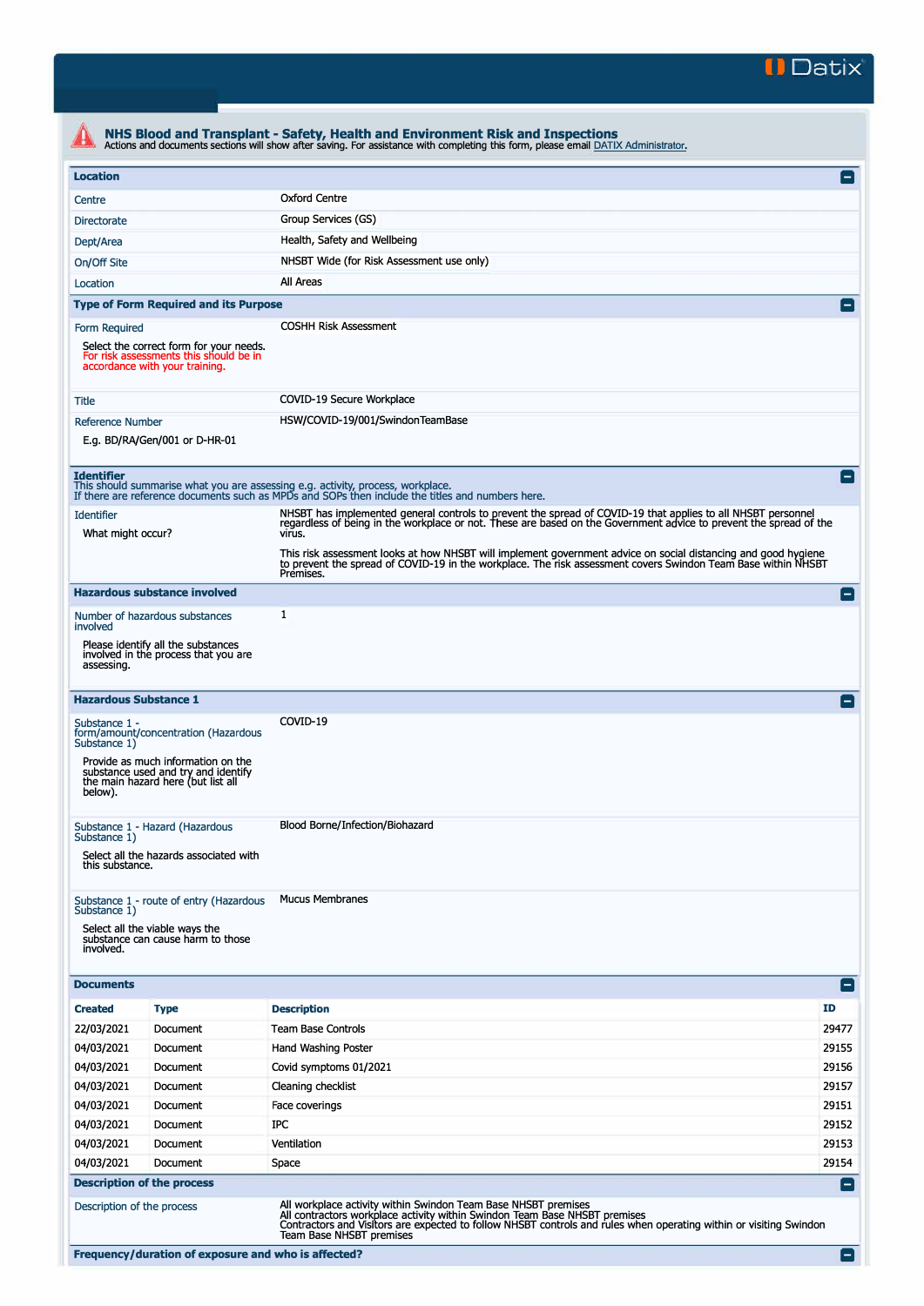

| <b>Location</b>                                          |                                                                                                                     |                                                                                                                                                                                     |                                                                                                                                                                                                                                           |  |  |  |
|----------------------------------------------------------|---------------------------------------------------------------------------------------------------------------------|-------------------------------------------------------------------------------------------------------------------------------------------------------------------------------------|-------------------------------------------------------------------------------------------------------------------------------------------------------------------------------------------------------------------------------------------|--|--|--|
| Centre                                                   |                                                                                                                     | <b>Oxford Centre</b>                                                                                                                                                                |                                                                                                                                                                                                                                           |  |  |  |
| <b>Directorate</b>                                       | Group Services (GS)                                                                                                 |                                                                                                                                                                                     |                                                                                                                                                                                                                                           |  |  |  |
| Health, Safety and Wellbeing<br>Dept/Area                |                                                                                                                     |                                                                                                                                                                                     |                                                                                                                                                                                                                                           |  |  |  |
| NHSBT Wide (for Risk Assessment use only)<br>On/Off Site |                                                                                                                     |                                                                                                                                                                                     |                                                                                                                                                                                                                                           |  |  |  |
| Location                                                 |                                                                                                                     | All Areas                                                                                                                                                                           |                                                                                                                                                                                                                                           |  |  |  |
|                                                          | <b>Type of Form Required and its Purpose</b>                                                                        |                                                                                                                                                                                     |                                                                                                                                                                                                                                           |  |  |  |
| Form Required                                            |                                                                                                                     | <b>COSHH Risk Assessment</b>                                                                                                                                                        |                                                                                                                                                                                                                                           |  |  |  |
|                                                          | Select the correct form for your needs.<br>For risk assessments this should be in<br>accordance with your training. |                                                                                                                                                                                     |                                                                                                                                                                                                                                           |  |  |  |
| COVID-19 Secure Workplace<br>Title                       |                                                                                                                     |                                                                                                                                                                                     |                                                                                                                                                                                                                                           |  |  |  |
| <b>Reference Number</b>                                  |                                                                                                                     | HSW/COVID-19/001/SwindonTeamBase                                                                                                                                                    |                                                                                                                                                                                                                                           |  |  |  |
|                                                          | E.g. BD/RA/Gen/001 or D-HR-01                                                                                       |                                                                                                                                                                                     |                                                                                                                                                                                                                                           |  |  |  |
| <b>Identifier</b>                                        |                                                                                                                     | This should summarise what you are assessing e.g. activity, process, workplace.<br>If there are reference documents such as MPDs and SOPs then include the titles and numbers here. | $\overline{\phantom{0}}$                                                                                                                                                                                                                  |  |  |  |
| <b>Identifier</b>                                        |                                                                                                                     |                                                                                                                                                                                     | NHSBT has implemented general controls to prevent the spread of COVID-19 that applies to all NHSBT personnel<br>regardless of being in the workplace or not. These are based on the Government advice to prevent the spread of the        |  |  |  |
| What might occur?                                        |                                                                                                                     | Premises.                                                                                                                                                                           | virus.<br>This risk assessment looks at how NHSBT will implement government advice on social distancing and good hygiene<br>to prevent the spread of COVID-19 in the workplace. The risk assessment covers Swindon Team Base within NHSBT |  |  |  |
|                                                          | <b>Hazardous substance involved</b>                                                                                 |                                                                                                                                                                                     | $\vert - \vert$                                                                                                                                                                                                                           |  |  |  |
| involved                                                 | Number of hazardous substances                                                                                      | 1                                                                                                                                                                                   |                                                                                                                                                                                                                                           |  |  |  |
| assessing.                                               | Please identify all the substances<br>involved in the process that you are                                          |                                                                                                                                                                                     |                                                                                                                                                                                                                                           |  |  |  |
|                                                          | <b>Hazardous Substance 1</b>                                                                                        |                                                                                                                                                                                     |                                                                                                                                                                                                                                           |  |  |  |
| Substance 1 -<br>Substance 1)                            | form/amount/concentration (Hazardous                                                                                | COVID-19                                                                                                                                                                            |                                                                                                                                                                                                                                           |  |  |  |
| below).                                                  | Provide as much information on the<br>substance used and try and identify<br>the main hazard here (but list all     |                                                                                                                                                                                     |                                                                                                                                                                                                                                           |  |  |  |
| Substance 1)                                             | Substance 1 - Hazard (Hazardous                                                                                     | Blood Borne/Infection/Biohazard                                                                                                                                                     |                                                                                                                                                                                                                                           |  |  |  |
| this substance.                                          | Select all the hazards associated with                                                                              |                                                                                                                                                                                     |                                                                                                                                                                                                                                           |  |  |  |
| Substance 1)                                             | Substance 1 - route of entry (Hazardous                                                                             | <b>Mucus Membranes</b>                                                                                                                                                              |                                                                                                                                                                                                                                           |  |  |  |
| involved.                                                | Select all the viable ways the<br>substance can cause harm to those                                                 |                                                                                                                                                                                     |                                                                                                                                                                                                                                           |  |  |  |
| <b>Documents</b>                                         |                                                                                                                     |                                                                                                                                                                                     | $\left  - \right $                                                                                                                                                                                                                        |  |  |  |
| <b>Created</b>                                           | <b>Type</b>                                                                                                         | <b>Description</b>                                                                                                                                                                  | ID                                                                                                                                                                                                                                        |  |  |  |
| 22/03/2021                                               | Document                                                                                                            | <b>Team Base Controls</b>                                                                                                                                                           | 29477                                                                                                                                                                                                                                     |  |  |  |
| 04/03/2021                                               | Document                                                                                                            | Hand Washing Poster                                                                                                                                                                 | 29155                                                                                                                                                                                                                                     |  |  |  |
| 04/03/2021                                               | Document                                                                                                            | Covid symptoms 01/2021                                                                                                                                                              | 29156                                                                                                                                                                                                                                     |  |  |  |
| 04/03/2021                                               | Document                                                                                                            | Cleaning checklist                                                                                                                                                                  | 29157                                                                                                                                                                                                                                     |  |  |  |
| 04/03/2021                                               | Document                                                                                                            | Face coverings                                                                                                                                                                      | 29151                                                                                                                                                                                                                                     |  |  |  |
| 04/03/2021                                               | Document                                                                                                            | <b>IPC</b>                                                                                                                                                                          | 29152                                                                                                                                                                                                                                     |  |  |  |
| 04/03/2021                                               | Document                                                                                                            | Ventilation                                                                                                                                                                         | 29153                                                                                                                                                                                                                                     |  |  |  |
| 04/03/2021                                               | Document                                                                                                            | Space                                                                                                                                                                               | 29154                                                                                                                                                                                                                                     |  |  |  |
|                                                          | <b>Description of the process</b>                                                                                   |                                                                                                                                                                                     | н                                                                                                                                                                                                                                         |  |  |  |
|                                                          | Description of the process                                                                                          | All workplace activity within Swindon Team Base NHSBT premises<br>All contractors workplace activity within Swindon Team Base NHSBT premises                                        |                                                                                                                                                                                                                                           |  |  |  |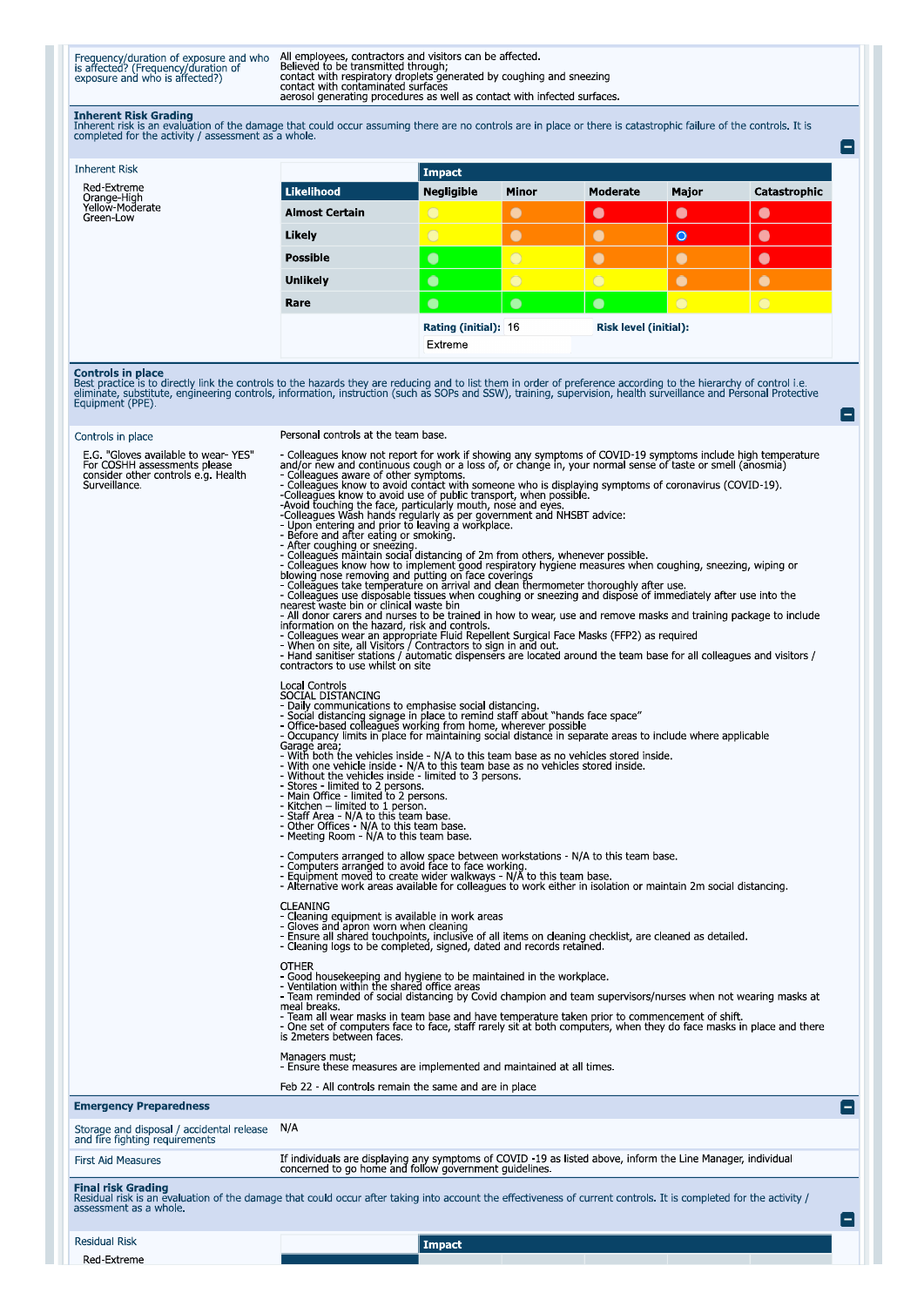Frequency/duration of exposure and who<br>is affected? (Frequency/duration of<br>exposure and who is affected?)

All employees, contractors and visitors can be affected.<br>Believed to be transmitted through;<br>contact with respiratory droplets generated by coughing and sneezing<br>contact with contaminated surfaces<br>aerosol generating proced

**Inherent Risk Grading**<br>Inherent risk is an evaluation of the damage that could occur assuming there are no controls are in place or there is catastrophic failure of the controls. It is<br>completed for the activity / assessm

A

A

E

| <b>Inherent Risk</b>                        |                       | Impact               |              |                              |           |                |
|---------------------------------------------|-----------------------|----------------------|--------------|------------------------------|-----------|----------------|
| Red-Extreme                                 | Likelihood            | <b>Negligible</b>    | <b>Minor</b> | <b>Moderate</b>              | Major     | Catastrophic   |
| Orange-High<br>Yellow-Moderate<br>Green-Low | <b>Almost Certain</b> | $\bigcirc$           | $\bullet$    | $\bullet$                    | $\bullet$ | $\bullet$      |
|                                             | Likely                | $\bigcirc$           | $\bullet$    | $\bullet$                    | $\bullet$ | $\bullet$      |
|                                             | <b>Possible</b>       | $\bullet$            | $\circ$      | $\bullet$                    | $\bullet$ | $\bullet$      |
|                                             | <b>Unlikely</b>       | $\bullet$            | $\circ$      | $\bigcirc$                   |           | $\bullet$      |
|                                             | Rare                  | $\bullet$            | $\bullet$    | $\bullet$                    | $\circ$   | $\overline{O}$ |
|                                             |                       | Rating (initial): 16 |              | <b>Risk level (initial):</b> |           |                |
|                                             |                       | Extreme              |              |                              |           |                |

**Controls in place**<br>Best practice is to directly link the controls to the hazards they are reducing and to list them in order of preference according to the hierarchy of control i.e.<br>eliminate, substitute, engineering cont

## Controls in place

## Personal controls at the team base.

| E.G. "Gloves available to wear-YES"<br>For COSHH assessments please<br>consider other controls e.g. Health<br>Surveillance. | - Colleagues know not report for work if showing any symptoms of COVID-19 symptoms include high temperature<br>and/or new and continuous cough or a loss of, or change in, your normal sense of taste or smell (anosmia)<br>- Colleagues aware of other symptoms.<br>- Colleagues know to avoid contact with someone who is displaying symptoms of coronavirus (COVID-19).<br>-Colleagues know to avoid use of public transport, when possible.<br>-Colleagues know to avoid use of public transport, when possible.<br>-Colleagues know to avoid use of public transport, when possible.<br>-Colleagues Wash hands regularly as per government and NHSBT advice:<br>-Upon entering and<br>contractors to use whilst on site<br>Local Controls<br>SOCIAL DISTANCING<br>- Daily communications to emphasise social distancing.<br>- Social distancing signage in place to remind staff about "hands face space"<br>- Office-based colleagues working from home, wherever possible<br>- Occupancy limits in place for maintaining social distance in separate areas to include where applicable<br>Garage area,<br>- With both the vehicles inside - N/A to this team base as no vehicles stored inside.<br>- With one vehicle inside - N/A to this team base as no vehicles stored inside.<br>- Without the vehicles inside - limited to 3 persons.<br>- Stores - limited to 2 persons.<br>- Main Office - limited to 2 persons.<br>- Kitchen - limited to 1 person.<br>- Staff Area - N/A to this team base.<br>- Other Offices   N/A to this team base.<br>- Meeting Room - N/A to this team base.<br>- Computers arranged to allow space between workstations - N/A to this team base.<br>- Computers arranged to avoid face to face working.<br>- Equipment moved to create wider walkways - N/A to this team base.<br>- Alternative work areas available for colleagues to work either in isolation or maintain 2m social distancing<br><b>CLEANING</b><br>- Cleaning equipment is available in work areas<br>- Gloves and apron worn when cleaning<br>- Ensure all shared touchpoints, inclusive of all items on cleaning checklist, are cleaned as detailed.<br>- Cleaning logs to be completed, signed, dated and records retained.<br><b>OTHER</b><br>- Good housekeeping and hygiene to be maintained in the workplace.<br>- Ventilation within the shared office areas<br>- Team reminded of social distancing by Covid champion and team supervisors/nurses when not wearing masks at<br>meal breaks.<br>- Team all wear masks in team base and have temperature taken prior to commencement of shift.<br>- One set of computers face to face, staff rarely sit at both computers, when they do face masks in place and there<br>is 2 meters between faces.<br>Managers must;<br>- Ensure these measures are implemented and maintained at all times. |  |
|-----------------------------------------------------------------------------------------------------------------------------|------------------------------------------------------------------------------------------------------------------------------------------------------------------------------------------------------------------------------------------------------------------------------------------------------------------------------------------------------------------------------------------------------------------------------------------------------------------------------------------------------------------------------------------------------------------------------------------------------------------------------------------------------------------------------------------------------------------------------------------------------------------------------------------------------------------------------------------------------------------------------------------------------------------------------------------------------------------------------------------------------------------------------------------------------------------------------------------------------------------------------------------------------------------------------------------------------------------------------------------------------------------------------------------------------------------------------------------------------------------------------------------------------------------------------------------------------------------------------------------------------------------------------------------------------------------------------------------------------------------------------------------------------------------------------------------------------------------------------------------------------------------------------------------------------------------------------------------------------------------------------------------------------------------------------------------------------------------------------------------------------------------------------------------------------------------------------------------------------------------------------------------------------------------------------------------------------------------------------------------------------------------------------------------------------------------------------------------------------------------------------------------------------------------------------------------------------------------------------------------------------------------------------------------------------------------------------------------------------------------------------------------------------------------------------------------------------------------------------------------------------------------------------------------------------------------------------------------------------------------|--|
|                                                                                                                             | Feb 22 - All controls remain the same and are in place                                                                                                                                                                                                                                                                                                                                                                                                                                                                                                                                                                                                                                                                                                                                                                                                                                                                                                                                                                                                                                                                                                                                                                                                                                                                                                                                                                                                                                                                                                                                                                                                                                                                                                                                                                                                                                                                                                                                                                                                                                                                                                                                                                                                                                                                                                                                                                                                                                                                                                                                                                                                                                                                                                                                                                                                           |  |
| <b>Emergency Preparedness</b>                                                                                               |                                                                                                                                                                                                                                                                                                                                                                                                                                                                                                                                                                                                                                                                                                                                                                                                                                                                                                                                                                                                                                                                                                                                                                                                                                                                                                                                                                                                                                                                                                                                                                                                                                                                                                                                                                                                                                                                                                                                                                                                                                                                                                                                                                                                                                                                                                                                                                                                                                                                                                                                                                                                                                                                                                                                                                                                                                                                  |  |
| Storage and disposal / accidental release<br>and fire fighting requirements                                                 | N/A                                                                                                                                                                                                                                                                                                                                                                                                                                                                                                                                                                                                                                                                                                                                                                                                                                                                                                                                                                                                                                                                                                                                                                                                                                                                                                                                                                                                                                                                                                                                                                                                                                                                                                                                                                                                                                                                                                                                                                                                                                                                                                                                                                                                                                                                                                                                                                                                                                                                                                                                                                                                                                                                                                                                                                                                                                                              |  |
| <b>First Aid Measures</b>                                                                                                   | If individuals are displaying any symptoms of COVID-19 as listed above, inform the Line Manager, individual<br>concerned to go home and follow government guidelines.                                                                                                                                                                                                                                                                                                                                                                                                                                                                                                                                                                                                                                                                                                                                                                                                                                                                                                                                                                                                                                                                                                                                                                                                                                                                                                                                                                                                                                                                                                                                                                                                                                                                                                                                                                                                                                                                                                                                                                                                                                                                                                                                                                                                                                                                                                                                                                                                                                                                                                                                                                                                                                                                                            |  |
| Final risk Grading                                                                                                          |                                                                                                                                                                                                                                                                                                                                                                                                                                                                                                                                                                                                                                                                                                                                                                                                                                                                                                                                                                                                                                                                                                                                                                                                                                                                                                                                                                                                                                                                                                                                                                                                                                                                                                                                                                                                                                                                                                                                                                                                                                                                                                                                                                                                                                                                                                                                                                                                                                                                                                                                                                                                                                                                                                                                                                                                                                                                  |  |

ration of details and evaluation of the damage that could occur after taking into account the effectiveness of current controls. It is completed for the activity / assessment as a whole.

**Residual Risk** 

Red-Extreme